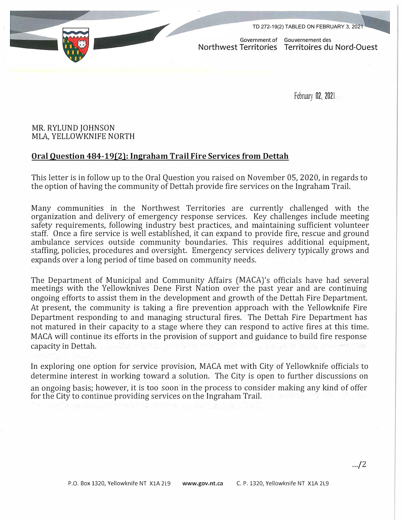TD 272-19(2) TABLED ON FEBRUARY 3, 2021

Government of Gouvernement des Northwest Territories Territoires du Nord-Quest

February 02, 202<sup>1</sup>

## MR. RYLUND JOHNSON MLA, YELLOWKNIFE NORTH

## **Oral Question 484-19(2): Ingraham Trail Fire Services from Dettah**

This letter is in follow up to the Oral Question you raised on November 05, 2020, in regards to the option of having the community of Dettah provide fire services on the Ingraham Trail.

Many communities in the Northwest Territories are currently challenged with the organization and delivery of emergency response services. Key challenges include meeting safety requirements, following industry best practices, and maintaining sufficient volunteer staff. Once a fire service is well established, it can expand to provide fire, rescue and ground ambulance services outside community boundaries. This requires additional equipment, staffing, policies, procedures and oversight. Emergency services delivery typically grows and expands over a long period of time based on community needs.

The Department of Municipal and Community Affairs (MACA)'s officials have had several meetings with the Yellowknives Dene First Nation over the past year and are continuing ongoing efforts to assist them in the development and growth of the Dettah Fire Department. At present, the community is taking a fire prevention approach with the Yellowknife Fire Department responding to and managing structural fires. The Dettah Fire Department has not matured in their capacity to a stage where they can respond to active fires at this time. MACA will continue its efforts in the provision of support and guidance to build fire response capacity in Dettah.

In exploring one option for service provision, MACA met with City of Yellowknife officials to determine interest in working toward a solution. The City is open to further discussions on an ongoing basis; however, it is too soon in the process to consider making any kind of offer for the City to continue providing services on the Ingraham Trail.